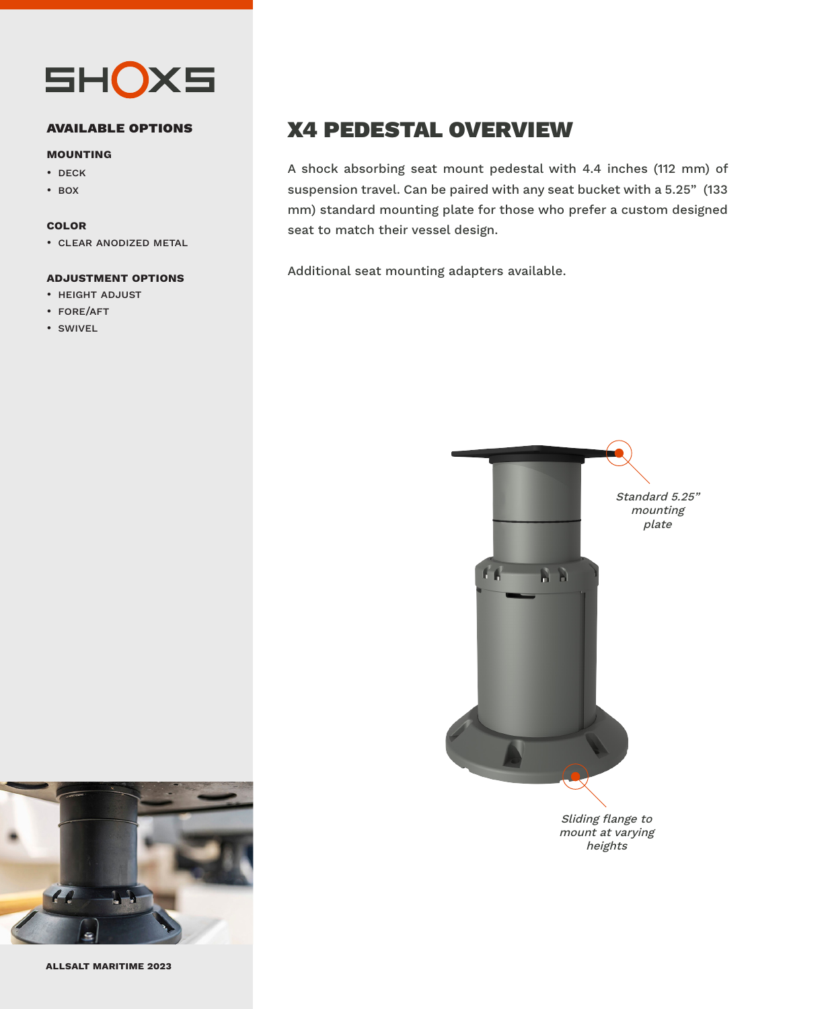

#### **available options**

#### **mounting**

- deck
- box

#### **color**

• clear anodized metal

#### **adjustment options**

- height adjust
- fore/aft
- swivel

## X4 PEDESTAL OVERVIEW

A shock absorbing seat mount pedestal with 4.4 inches (112 mm) of suspension travel. Can be paired with any seat bucket with a 5.25" (133 mm) standard mounting plate for those who prefer a custom designed seat to match their vessel design.

Additional seat mounting adapters available.



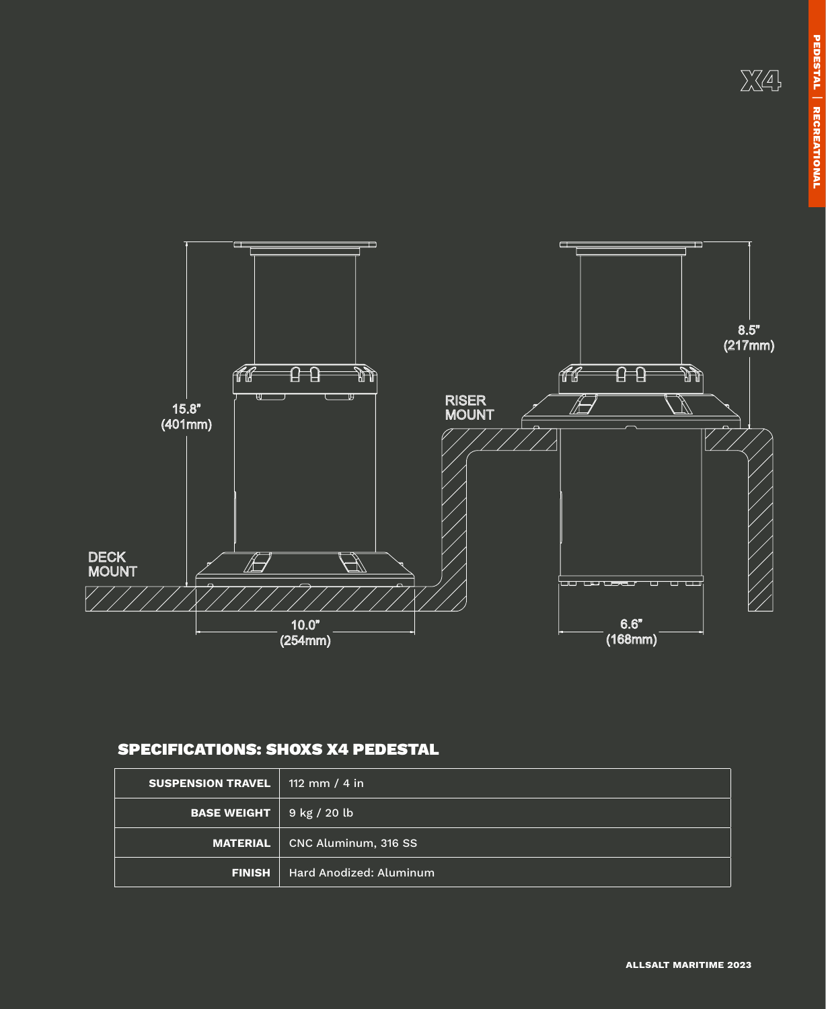**pedestal**

PEDESTAL | RECREATIONAL

**Recreational** 



### SPECIFICATIONS: SHOXS X4 PEDESTAL

| <b>SUSPENSION TRAVEL</b> | 112 mm / 4 in           |
|--------------------------|-------------------------|
| <b>BASE WEIGHT</b>       | 9 kg / 20 lb            |
| <b>MATERIAL</b>          | CNC Aluminum, 316 SS    |
| <b>FINISH</b>            | Hard Anodized: Aluminum |